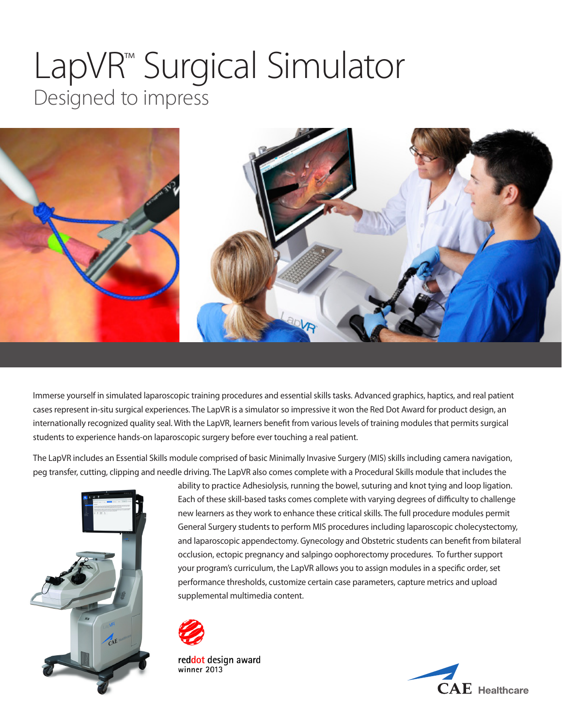# LapVR™ Surgical Simulator Designed to impress



Immerse yourself in simulated laparoscopic training procedures and essential skills tasks. Advanced graphics, haptics, and real patient cases represent in-situ surgical experiences. The LapVR is a simulator so impressive it won the Red Dot Award for product design, an internationally recognized quality seal. With the LapVR, learners benefit from various levels of training modules that permits surgical students to experience hands-on laparoscopic surgery before ever touching a real patient.

The LapVR includes an Essential Skills module comprised of basic Minimally Invasive Surgery (MIS) skills including camera navigation, peg transfer, cutting, clipping and needle driving. The LapVR also comes complete with a Procedural Skills module that includes the



ability to practice Adhesiolysis, running the bowel, suturing and knot tying and loop ligation. Each of these skill-based tasks comes complete with varying degrees of difficulty to challenge new learners as they work to enhance these critical skills. The full procedure modules permit General Surgery students to perform MIS procedures including laparoscopic cholecystectomy, and laparoscopic appendectomy. Gynecology and Obstetric students can benefit from bilateral occlusion, ectopic pregnancy and salpingo oophorectomy procedures. To further support your program's curriculum, the LapVR allows you to assign modules in a specific order, set performance thresholds, customize certain case parameters, capture metrics and upload supplemental multimedia content.



reddot design award winner 2013